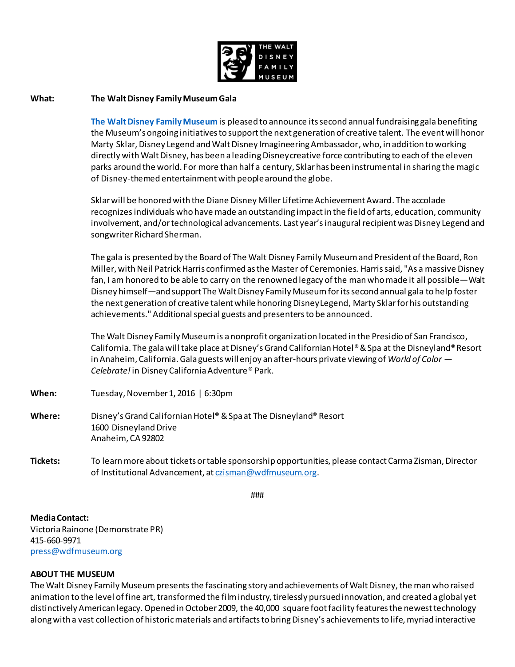

## **What: The Walt Disney Family Museum Gala**

**[The Walt Disney Family Museum](http://waltdisney.org/)** is pleased to announce itssecond annual fundraising gala benefiting the Museum's ongoing initiatives to support the next generation of creative talent. The event will honor Marty Sklar, Disney Legend and Walt Disney Imagineering Ambassador, who, in addition to working directly with Walt Disney, has been a leading Disney creative force contributing to each of the eleven parks around the world. For more than half a century, Sklar has been instrumental in sharing the magic of Disney-themed entertainment with people around the globe.

Sklar will be honored with the Diane Disney Miller Lifetime Achievement Award. The accolade recognizes individuals who have made an outstanding impact in the field of arts, education, community involvement, and/or technological advancements. Last year's inaugural recipient was Disney Legend and songwriter Richard Sherman.

The gala is presented by the Board of The Walt Disney Family Museum and President of the Board, Ron Miller, with Neil Patrick Harris confirmed as the Master of Ceremonies. Harris said, "As a massive Disney fan, I am honored to be able to carry on the renowned legacy of the man who made it all possible—Walt Disney himself—and support The Walt Disney Family Museum for its second annual gala to help foster the next generation of creative talent while honoring Disney Legend, Marty Sklar for his outstanding achievements." Additional special guests and presenters to be announced.

The Walt Disney Family Museum is a nonprofit organization located in the Presidio of San Francisco, California. The gala will take place at Disney's Grand Californian Hotel® & Spa at the Disneyland® Resort in Anaheim, California. Gala guests will enjoy an after-hours private viewing of *World of Color — Celebrate!*in Disney California Adventure® Park.

- **When:** Tuesday, November 1, 2016 | 6:30pm
- **Where:** Disney's Grand Californian Hotel®& Spa at The Disneyland® Resort 1600 Disneyland Drive Anaheim, CA 92802
- **Tickets:** To learn more about tickets or table sponsorship opportunities, please contact Carma Zisman, Director of Institutional Advancement, a[t czisman@wdfmuseum.org](mailto:czisman@wdfmuseum.org).

###

**Media Contact:**

Victoria Rainone (Demonstrate PR) 415-660-9971 [press@wdfmuseum.org](mailto:press@wdfmuseum.org)

## **ABOUT THE MUSEUM**

The Walt Disney Family Museum presents the fascinating story and achievements of Walt Disney, the man who raised animation to the level of fine art, transformed the film industry, tirelessly pursued innovation, and created a global yet distinctively American legacy. Opened in October 2009, the 40,000 square foot facility features the newest technology along with a vast collection of historic materials and artifacts to bring Disney's achievements to life, myriad interactive